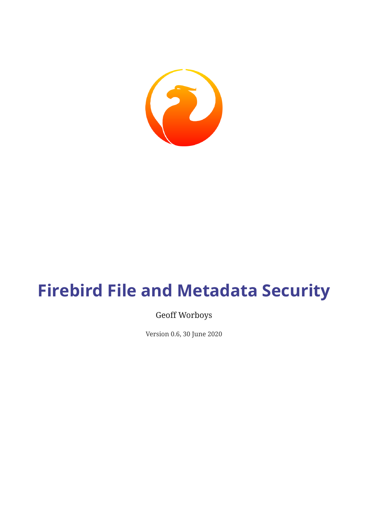

# **Firebird File and Metadata Security**

#### Geoff Worboys

Version 0.6, 30 June 2020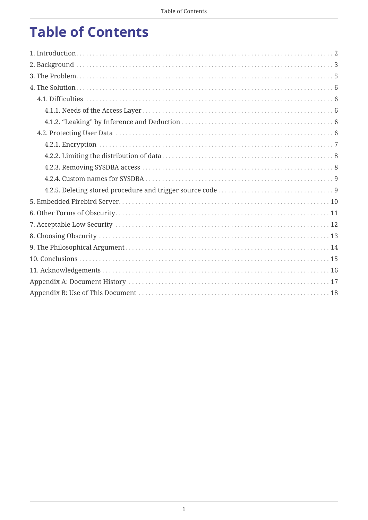# **Table of Contents**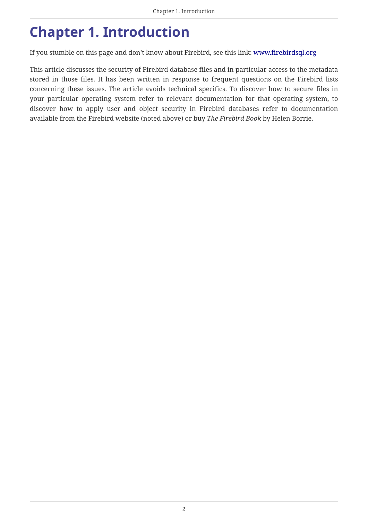### <span id="page-2-0"></span>**Chapter 1. Introduction**

If you stumble on this page and don't know about Firebird, see this link: [www.firebirdsql.org](https://www.firebirdsql.org)

This article discusses the security of Firebird database files and in particular access to the metadata stored in those files. It has been written in response to frequent questions on the Firebird lists concerning these issues. The article avoids technical specifics. To discover how to secure files in your particular operating system refer to relevant documentation for that operating system, to discover how to apply user and object security in Firebird databases refer to documentation available from the Firebird website (noted above) or buy *The Firebird Book* by Helen Borrie.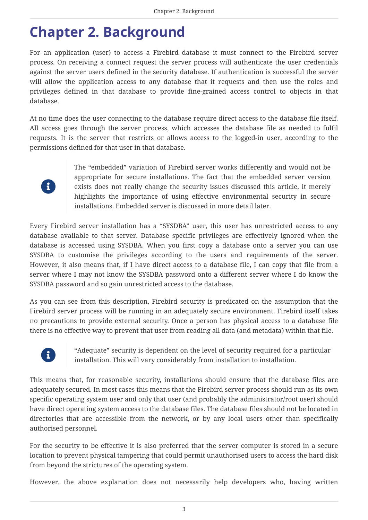### <span id="page-3-0"></span>**Chapter 2. Background**

For an application (user) to access a Firebird database it must connect to the Firebird server process. On receiving a connect request the server process will authenticate the user credentials against the server users defined in the security database. If authentication is successful the server will allow the application access to any database that it requests and then use the roles and privileges defined in that database to provide fine-grained access control to objects in that database.

At no time does the user connecting to the database require direct access to the database file itself. All access goes through the server process, which accesses the database file as needed to fulfil requests. It is the server that restricts or allows access to the logged-in user, according to the permissions defined for that user in that database.



The "embedded" variation of Firebird server works differently and would not be appropriate for secure installations. The fact that the embedded server version exists does not really change the security issues discussed this article, it merely highlights the importance of using effective environmental security in secure installations. Embedded server is discussed in more detail later.

Every Firebird server installation has a "SYSDBA" user, this user has unrestricted access to any database available to that server. Database specific privileges are effectively ignored when the database is accessed using SYSDBA. When you first copy a database onto a server you can use SYSDBA to customise the privileges according to the users and requirements of the server. However, it also means that, if I have direct access to a database file, I can copy that file from a server where I may not know the SYSDBA password onto a different server where I do know the SYSDBA password and so gain unrestricted access to the database.

As you can see from this description, Firebird security is predicated on the assumption that the Firebird server process will be running in an adequately secure environment. Firebird itself takes no precautions to provide external security. Once a person has physical access to a database file there is no effective way to prevent that user from reading all data (and metadata) within that file.



"Adequate" security is dependent on the level of security required for a particular installation. This will vary considerably from installation to installation.

This means that, for reasonable security, installations should ensure that the database files are adequately secured. In most cases this means that the Firebird server process should run as its own specific operating system user and only that user (and probably the administrator/root user) should have direct operating system access to the database files. The database files should not be located in directories that are accessible from the network, or by any local users other than specifically authorised personnel.

For the security to be effective it is also preferred that the server computer is stored in a secure location to prevent physical tampering that could permit unauthorised users to access the hard disk from beyond the strictures of the operating system.

However, the above explanation does not necessarily help developers who, having written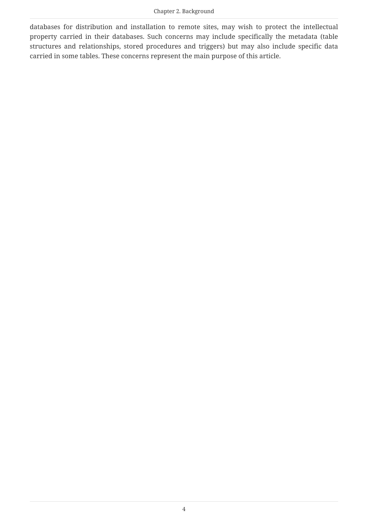databases for distribution and installation to remote sites, may wish to protect the intellectual property carried in their databases. Such concerns may include specifically the metadata (table structures and relationships, stored procedures and triggers) but may also include specific data carried in some tables. These concerns represent the main purpose of this article.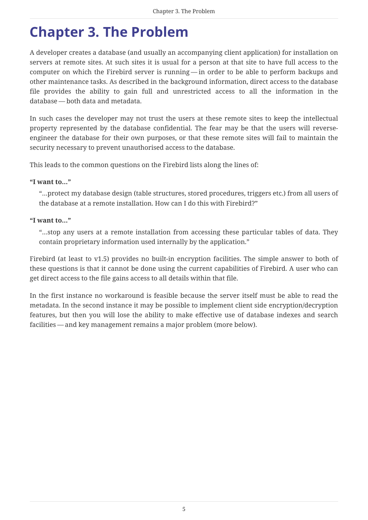### <span id="page-5-0"></span>**Chapter 3. The Problem**

A developer creates a database (and usually an accompanying client application) for installation on servers at remote sites. At such sites it is usual for a person at that site to have full access to the computer on which the Firebird server is running — in order to be able to perform backups and other maintenance tasks. As described in the background information, direct access to the database file provides the ability to gain full and unrestricted access to all the information in the database — both data and metadata.

In such cases the developer may not trust the users at these remote sites to keep the intellectual property represented by the database confidential. The fear may be that the users will reverseengineer the database for their own purposes, or that these remote sites will fail to maintain the security necessary to prevent unauthorised access to the database.

This leads to the common questions on the Firebird lists along the lines of:

#### **"I want to…"**

"…protect my database design (table structures, stored procedures, triggers etc.) from all users of the database at a remote installation. How can I do this with Firebird?"

#### **"I want to…"**

"…stop any users at a remote installation from accessing these particular tables of data. They contain proprietary information used internally by the application."

Firebird (at least to v1.5) provides no built-in encryption facilities. The simple answer to both of these questions is that it cannot be done using the current capabilities of Firebird. A user who can get direct access to the file gains access to all details within that file.

In the first instance no workaround is feasible because the server itself must be able to read the metadata. In the second instance it may be possible to implement client side encryption/decryption features, but then you will lose the ability to make effective use of database indexes and search facilities — and key management remains a major problem (more below).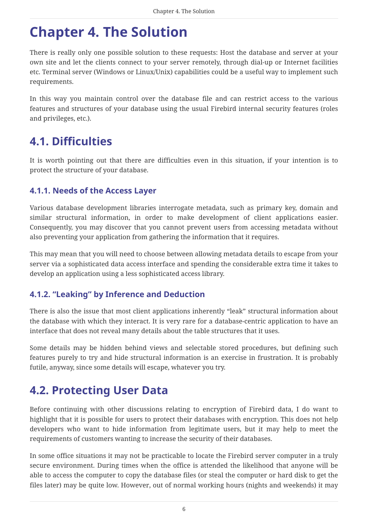### <span id="page-6-0"></span>**Chapter 4. The Solution**

There is really only one possible solution to these requests: Host the database and server at your own site and let the clients connect to your server remotely, through dial-up or Internet facilities etc. Terminal server (Windows or Linux/Unix) capabilities could be a useful way to implement such requirements.

In this way you maintain control over the database file and can restrict access to the various features and structures of your database using the usual Firebird internal security features (roles and privileges, etc.).

### <span id="page-6-1"></span>**4.1. Difficulties**

It is worth pointing out that there are difficulties even in this situation, if your intention is to protect the structure of your database.

#### <span id="page-6-2"></span>**4.1.1. Needs of the Access Layer**

Various database development libraries interrogate metadata, such as primary key, domain and similar structural information, in order to make development of client applications easier. Consequently, you may discover that you cannot prevent users from accessing metadata without also preventing your application from gathering the information that it requires.

This may mean that you will need to choose between allowing metadata details to escape from your server via a sophisticated data access interface and spending the considerable extra time it takes to develop an application using a less sophisticated access library.

#### <span id="page-6-3"></span>**4.1.2. "Leaking" by Inference and Deduction**

There is also the issue that most client applications inherently "leak" structural information about the database with which they interact. It is very rare for a database-centric application to have an interface that does not reveal many details about the table structures that it uses.

Some details may be hidden behind views and selectable stored procedures, but defining such features purely to try and hide structural information is an exercise in frustration. It is probably futile, anyway, since some details will escape, whatever you try.

### <span id="page-6-4"></span>**4.2. Protecting User Data**

Before continuing with other discussions relating to encryption of Firebird data, I do want to highlight that it is possible for users to protect their databases with encryption. This does not help developers who want to hide information from legitimate users, but it may help to meet the requirements of customers wanting to increase the security of their databases.

In some office situations it may not be practicable to locate the Firebird server computer in a truly secure environment. During times when the office is attended the likelihood that anyone will be able to access the computer to copy the database files (or steal the computer or hard disk to get the files later) may be quite low. However, out of normal working hours (nights and weekends) it may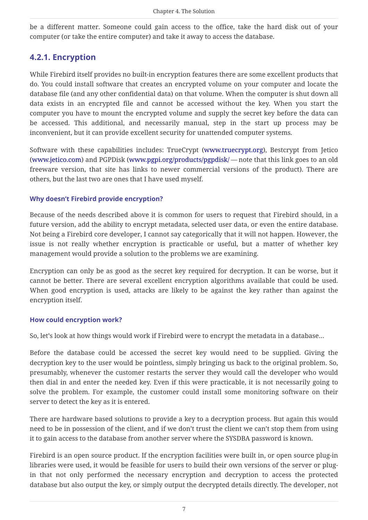be a different matter. Someone could gain access to the office, take the hard disk out of your computer (or take the entire computer) and take it away to access the database.

#### <span id="page-7-0"></span>**4.2.1. Encryption**

While Firebird itself provides no built-in encryption features there are some excellent products that do. You could install software that creates an encrypted volume on your computer and locate the database file (and any other confidential data) on that volume. When the computer is shut down all data exists in an encrypted file and cannot be accessed without the key. When you start the computer you have to mount the encrypted volume and supply the secret key before the data can be accessed. This additional, and necessarily manual, step in the start up process may be inconvenient, but it can provide excellent security for unattended computer systems.

Software with these capabilities includes: TrueCrypt [\(www.truecrypt.org\)](http://www.truecrypt.org), Bestcrypt from Jetico ([www.jetico.com\)](https://www.jetico.com) and PGPDisk ([www.pgpi.org/products/pgpdisk/](http://www.pgpi.org/products/pgpdisk/) — note that this link goes to an old freeware version, that site has links to newer commercial versions of the product). There are others, but the last two are ones that I have used myself.

#### **Why doesn't Firebird provide encryption?**

Because of the needs described above it is common for users to request that Firebird should, in a future version, add the ability to encrypt metadata, selected user data, or even the entire database. Not being a Firebird core developer, I cannot say categorically that it will not happen. However, the issue is not really whether encryption is practicable or useful, but a matter of whether key management would provide a solution to the problems we are examining.

Encryption can only be as good as the secret key required for decryption. It can be worse, but it cannot be better. There are several excellent encryption algorithms available that could be used. When good encryption is used, attacks are likely to be against the key rather than against the encryption itself.

#### **How could encryption work?**

So, let's look at how things would work if Firebird were to encrypt the metadata in a database…

Before the database could be accessed the secret key would need to be supplied. Giving the decryption key to the user would be pointless, simply bringing us back to the original problem. So, presumably, whenever the customer restarts the server they would call the developer who would then dial in and enter the needed key. Even if this were practicable, it is not necessarily going to solve the problem. For example, the customer could install some monitoring software on their server to detect the key as it is entered.

There are hardware based solutions to provide a key to a decryption process. But again this would need to be in possession of the client, and if we don't trust the client we can't stop them from using it to gain access to the database from another server where the SYSDBA password is known.

Firebird is an open source product. If the encryption facilities were built in, or open source plug-in libraries were used, it would be feasible for users to build their own versions of the server or plugin that not only performed the necessary encryption and decryption to access the protected database but also output the key, or simply output the decrypted details directly. The developer, not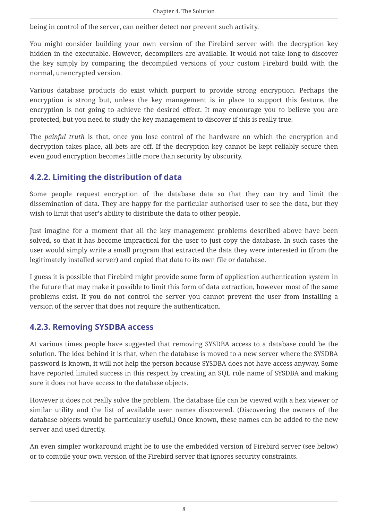being in control of the server, can neither detect nor prevent such activity.

You might consider building your own version of the Firebird server with the decryption key hidden in the executable. However, decompilers are available. It would not take long to discover the key simply by comparing the decompiled versions of your custom Firebird build with the normal, unencrypted version.

Various database products do exist which purport to provide strong encryption. Perhaps the encryption is strong but, unless the key management is in place to support this feature, the encryption is not going to achieve the desired effect. It may encourage you to believe you are protected, but you need to study the key management to discover if this is really true.

The *painful truth* is that, once you lose control of the hardware on which the encryption and decryption takes place, all bets are off. If the decryption key cannot be kept reliably secure then even good encryption becomes little more than security by obscurity.

#### <span id="page-8-0"></span>**4.2.2. Limiting the distribution of data**

Some people request encryption of the database data so that they can try and limit the dissemination of data. They are happy for the particular authorised user to see the data, but they wish to limit that user's ability to distribute the data to other people.

Just imagine for a moment that all the key management problems described above have been solved, so that it has become impractical for the user to just copy the database. In such cases the user would simply write a small program that extracted the data they were interested in (from the legitimately installed server) and copied that data to its own file or database.

I guess it is possible that Firebird might provide some form of application authentication system in the future that may make it possible to limit this form of data extraction, however most of the same problems exist. If you do not control the server you cannot prevent the user from installing a version of the server that does not require the authentication.

#### <span id="page-8-1"></span>**4.2.3. Removing SYSDBA access**

At various times people have suggested that removing SYSDBA access to a database could be the solution. The idea behind it is that, when the database is moved to a new server where the SYSDBA password is known, it will not help the person because SYSDBA does not have access anyway. Some have reported limited success in this respect by creating an SQL role name of SYSDBA and making sure it does not have access to the database objects.

However it does not really solve the problem. The database file can be viewed with a hex viewer or similar utility and the list of available user names discovered. (Discovering the owners of the database objects would be particularly useful.) Once known, these names can be added to the new server and used directly.

An even simpler workaround might be to use the embedded version of Firebird server (see below) or to compile your own version of the Firebird server that ignores security constraints.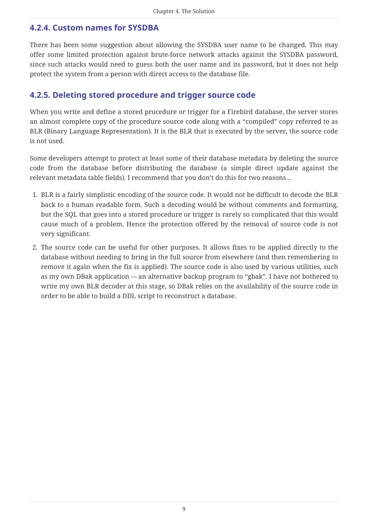#### <span id="page-9-0"></span>**4.2.4. Custom names for SYSDBA**

There has been some suggestion about allowing the SYSDBA user name to be changed. This may offer some limited protection against brute-force network attacks against the SYSDBA password, since such attacks would need to guess both the user name and its password, but it does not help protect the system from a person with direct access to the database file.

#### <span id="page-9-1"></span>**4.2.5. Deleting stored procedure and trigger source code**

When you write and define a stored procedure or trigger for a Firebird database, the server stores an almost complete copy of the procedure source code along with a "compiled" copy referred to as BLR (Binary Language Representation). It is the BLR that is executed by the server, the source code is not used.

Some developers attempt to protect at least some of their database metadata by deleting the source code from the database before distributing the database (a simple direct update against the relevant metadata table fields). I recommend that you don't do this for two reasons…

- 1. BLR is a fairly simplistic encoding of the source code. It would not be difficult to decode the BLR back to a human readable form. Such a decoding would be without comments and formatting, but the SQL that goes into a stored procedure or trigger is rarely so complicated that this would cause much of a problem. Hence the protection offered by the removal of source code is not very significant.
- 2. The source code can be useful for other purposes. It allows fixes to be applied directly to the database without needing to bring in the full source from elsewhere (and then remembering to remove it again when the fix is applied). The source code is also used by various utilities, such as my own DBak application — an alternative backup program to "gbak". I have not bothered to write my own BLR decoder at this stage, so DBak relies on the availability of the source code in order to be able to build a DDL script to reconstruct a database.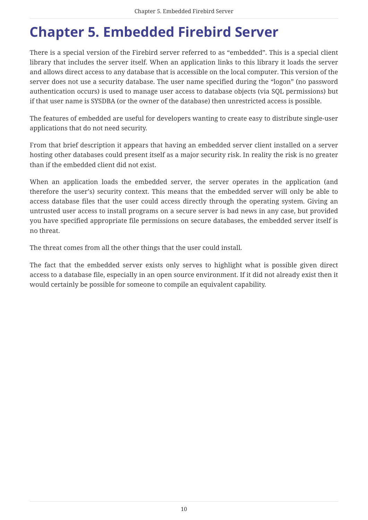### <span id="page-10-0"></span>**Chapter 5. Embedded Firebird Server**

There is a special version of the Firebird server referred to as "embedded". This is a special client library that includes the server itself. When an application links to this library it loads the server and allows direct access to any database that is accessible on the local computer. This version of the server does not use a security database. The user name specified during the "logon" (no password authentication occurs) is used to manage user access to database objects (via SQL permissions) but if that user name is SYSDBA (or the owner of the database) then unrestricted access is possible.

The features of embedded are useful for developers wanting to create easy to distribute single-user applications that do not need security.

From that brief description it appears that having an embedded server client installed on a server hosting other databases could present itself as a major security risk. In reality the risk is no greater than if the embedded client did not exist.

When an application loads the embedded server, the server operates in the application (and therefore the user's) security context. This means that the embedded server will only be able to access database files that the user could access directly through the operating system. Giving an untrusted user access to install programs on a secure server is bad news in any case, but provided you have specified appropriate file permissions on secure databases, the embedded server itself is no threat.

The threat comes from all the other things that the user could install.

The fact that the embedded server exists only serves to highlight what is possible given direct access to a database file, especially in an open source environment. If it did not already exist then it would certainly be possible for someone to compile an equivalent capability.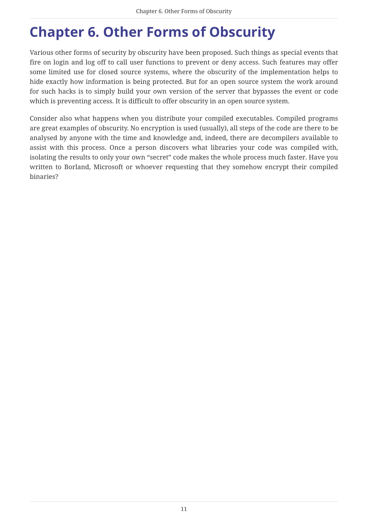# <span id="page-11-0"></span>**Chapter 6. Other Forms of Obscurity**

Various other forms of security by obscurity have been proposed. Such things as special events that fire on login and log off to call user functions to prevent or deny access. Such features may offer some limited use for closed source systems, where the obscurity of the implementation helps to hide exactly how information is being protected. But for an open source system the work around for such hacks is to simply build your own version of the server that bypasses the event or code which is preventing access. It is difficult to offer obscurity in an open source system.

Consider also what happens when you distribute your compiled executables. Compiled programs are great examples of obscurity. No encryption is used (usually), all steps of the code are there to be analysed by anyone with the time and knowledge and, indeed, there are decompilers available to assist with this process. Once a person discovers what libraries your code was compiled with, isolating the results to only your own "secret" code makes the whole process much faster. Have you written to Borland, Microsoft or whoever requesting that they somehow encrypt their compiled binaries?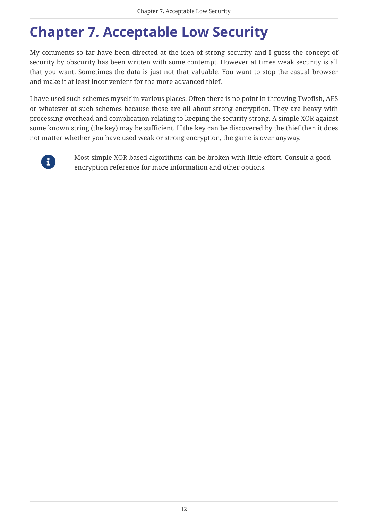# <span id="page-12-0"></span>**Chapter 7. Acceptable Low Security**

My comments so far have been directed at the idea of strong security and I guess the concept of security by obscurity has been written with some contempt. However at times weak security is all that you want. Sometimes the data is just not that valuable. You want to stop the casual browser and make it at least inconvenient for the more advanced thief.

I have used such schemes myself in various places. Often there is no point in throwing Twofish, AES or whatever at such schemes because those are all about strong encryption. They are heavy with processing overhead and complication relating to keeping the security strong. A simple XOR against some known string (the key) may be sufficient. If the key can be discovered by the thief then it does not matter whether you have used weak or strong encryption, the game is over anyway.



Most simple XOR based algorithms can be broken with little effort. Consult a good encryption reference for more information and other options.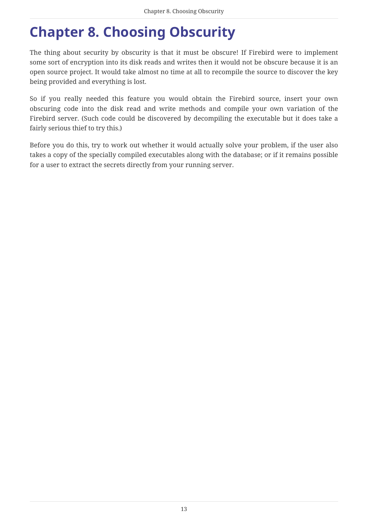### <span id="page-13-0"></span>**Chapter 8. Choosing Obscurity**

The thing about security by obscurity is that it must be obscure! If Firebird were to implement some sort of encryption into its disk reads and writes then it would not be obscure because it is an open source project. It would take almost no time at all to recompile the source to discover the key being provided and everything is lost.

So if you really needed this feature you would obtain the Firebird source, insert your own obscuring code into the disk read and write methods and compile your own variation of the Firebird server. (Such code could be discovered by decompiling the executable but it does take a fairly serious thief to try this.)

Before you do this, try to work out whether it would actually solve your problem, if the user also takes a copy of the specially compiled executables along with the database; or if it remains possible for a user to extract the secrets directly from your running server.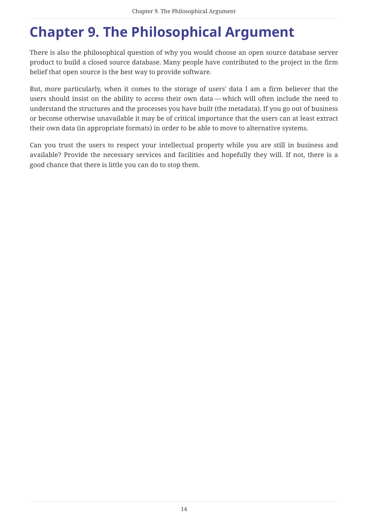# <span id="page-14-0"></span>**Chapter 9. The Philosophical Argument**

There is also the philosophical question of why you would choose an open source database server product to build a closed source database. Many people have contributed to the project in the firm belief that open source is the best way to provide software.

But, more particularly, when it comes to the storage of users' data I am a firm believer that the users should insist on the ability to access their own data — which will often include the need to understand the structures and the processes you have built (the metadata). If you go out of business or become otherwise unavailable it may be of critical importance that the users can at least extract their own data (in appropriate formats) in order to be able to move to alternative systems.

Can you trust the users to respect your intellectual property while you are still in business and available? Provide the necessary services and facilities and hopefully they will. If not, there is a good chance that there is little you can do to stop them.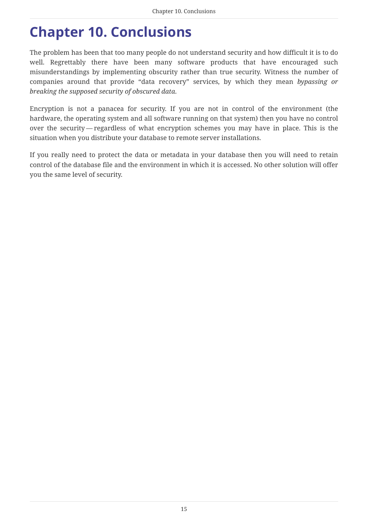### <span id="page-15-0"></span>**Chapter 10. Conclusions**

The problem has been that too many people do not understand security and how difficult it is to do well. Regrettably there have been many software products that have encouraged such misunderstandings by implementing obscurity rather than true security. Witness the number of companies around that provide "data recovery" services, by which they mean *bypassing or breaking the supposed security of obscured data*.

Encryption is not a panacea for security. If you are not in control of the environment (the hardware, the operating system and all software running on that system) then you have no control over the security — regardless of what encryption schemes you may have in place. This is the situation when you distribute your database to remote server installations.

If you really need to protect the data or metadata in your database then you will need to retain control of the database file and the environment in which it is accessed. No other solution will offer you the same level of security.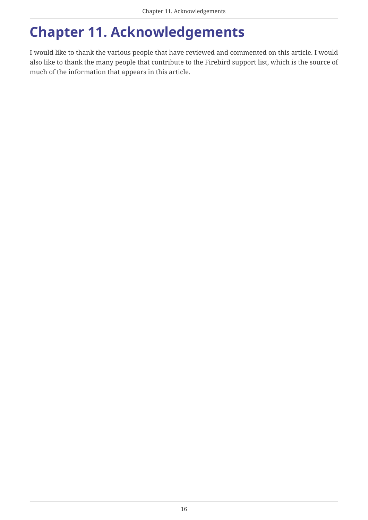# <span id="page-16-0"></span>**Chapter 11. Acknowledgements**

I would like to thank the various people that have reviewed and commented on this article. I would also like to thank the many people that contribute to the Firebird support list, which is the source of much of the information that appears in this article.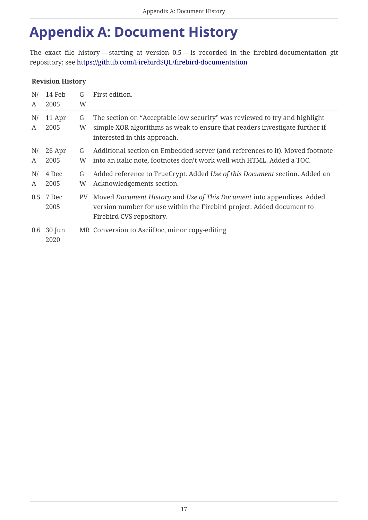### <span id="page-17-0"></span>**Appendix A: Document History**

The exact file history — starting at version 0.5 — is recorded in the firebird-documentation git repository; see<https://github.com/FirebirdSQL/firebird-documentation>

#### **Revision History**

| N/      | 14 Feb               | G      | First edition.                                                                                                                                                                            |
|---------|----------------------|--------|-------------------------------------------------------------------------------------------------------------------------------------------------------------------------------------------|
| A       | 2005                 | W      |                                                                                                                                                                                           |
| N/<br>A | 11 Apr<br>2005       | G<br>W | The section on "Acceptable low security" was reviewed to try and highlight<br>simple XOR algorithms as weak to ensure that readers investigate further if<br>interested in this approach. |
| N/      | 26 Apr               | G      | Additional section on Embedded server (and references to it). Moved footnote                                                                                                              |
| A       | 2005                 | W      | into an italic note, footnotes don't work well with HTML. Added a TOC.                                                                                                                    |
| N/      | 4 Dec                | G      | Added reference to TrueCrypt. Added Use of this Document section. Added an                                                                                                                |
| A       | 2005                 | W      | Acknowledgements section.                                                                                                                                                                 |
|         | 0.5 7 Dec<br>2005    | PV.    | Moved Document History and Use of This Document into appendices. Added<br>version number for use within the Firebird project. Added document to<br>Firebird CVS repository.               |
|         | $0.6$ 30 Jun<br>2020 |        | MR Conversion to AsciiDoc, minor copy-editing                                                                                                                                             |